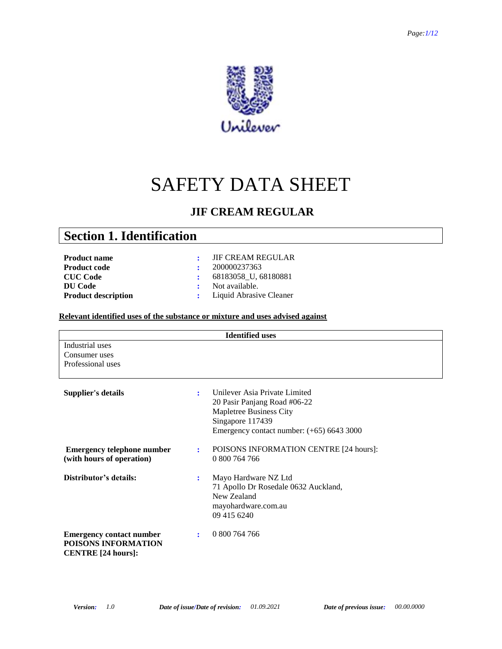

# SAFETY DATA SHEET

### **JIF CREAM REGULAR**

## **Section 1. Identification**

| <b>Product name</b>        |
|----------------------------|
| <b>Product code</b>        |
| <b>CUC Code</b>            |
| <b>DU</b> Code             |
| <b>Product description</b> |

- **:** JIF CREAM REGULAR **200000237363 :** 68183058\_U, 68180881 **:** Not available.
- **:** Liquid Abrasive Cleaner

#### **Relevant identified uses of the substance or mixture and uses advised against**

| <b>Identified uses</b>            |    |                                             |  |  |
|-----------------------------------|----|---------------------------------------------|--|--|
| Industrial uses                   |    |                                             |  |  |
| Consumer uses                     |    |                                             |  |  |
| Professional uses                 |    |                                             |  |  |
|                                   |    |                                             |  |  |
|                                   |    |                                             |  |  |
| <b>Supplier's details</b>         | ÷  | Unilever Asia Private Limited               |  |  |
|                                   |    | 20 Pasir Panjang Road #06-22                |  |  |
|                                   |    | Mapletree Business City                     |  |  |
|                                   |    | Singapore 117439                            |  |  |
|                                   |    | Emergency contact number: $(+65)$ 6643 3000 |  |  |
|                                   |    |                                             |  |  |
| <b>Emergency telephone number</b> | ÷  | POISONS INFORMATION CENTRE [24 hours]:      |  |  |
| (with hours of operation)         |    | 0 800 764 766                               |  |  |
|                                   |    |                                             |  |  |
| Distributor's details:            | ٠. | Mayo Hardware NZ Ltd                        |  |  |
|                                   |    | 71 Apollo Dr Rosedale 0632 Auckland,        |  |  |
|                                   |    | New Zealand                                 |  |  |
|                                   |    | mayohardware.com.au                         |  |  |
|                                   |    | 09 415 6240                                 |  |  |
|                                   |    |                                             |  |  |
| <b>Emergency contact number</b>   |    | 0 800 764 766                               |  |  |
| POISONS INFORMATION               |    |                                             |  |  |
|                                   |    |                                             |  |  |
| <b>CENTRE</b> [24 hours]:         |    |                                             |  |  |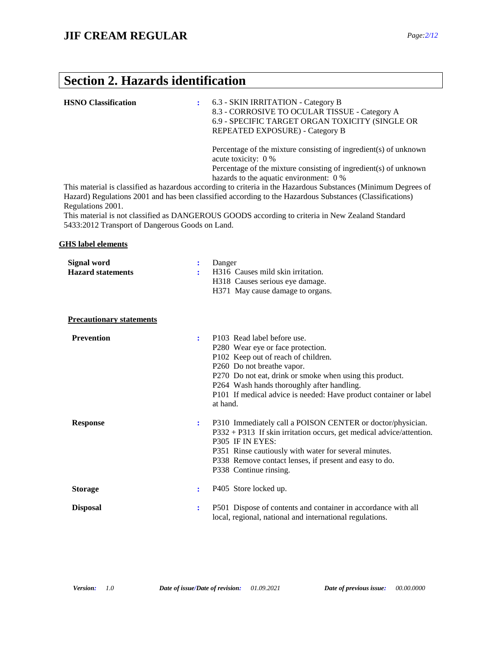## **Section 2. Hazards identification**

| <b>HSNO</b> Classification                                           |                | 6.3 - SKIN IRRITATION - Category B<br>8.3 - CORROSIVE TO OCULAR TISSUE - Category A<br>6.9 - SPECIFIC TARGET ORGAN TOXICITY (SINGLE OR<br>REPEATED EXPOSURE) - Category B<br>Percentage of the mixture consisting of ingredient(s) of unknown<br>acute toxicity: 0 %<br>Percentage of the mixture consisting of ingredient(s) of unknown                                  |
|----------------------------------------------------------------------|----------------|---------------------------------------------------------------------------------------------------------------------------------------------------------------------------------------------------------------------------------------------------------------------------------------------------------------------------------------------------------------------------|
| Regulations 2001.<br>5433:2012 Transport of Dangerous Goods on Land. |                | hazards to the aquatic environment: 0 %<br>This material is classified as hazardous according to criteria in the Hazardous Substances (Minimum Degrees of<br>Hazard) Regulations 2001 and has been classified according to the Hazardous Substances (Classifications)<br>This material is not classified as DANGEROUS GOODS according to criteria in New Zealand Standard |
| <b>GHS</b> label elements                                            |                |                                                                                                                                                                                                                                                                                                                                                                           |
| <b>Signal word</b><br><b>Hazard statements</b>                       | ÷              | Danger<br>H316 Causes mild skin irritation.<br>H318 Causes serious eye damage.<br>H371 May cause damage to organs.                                                                                                                                                                                                                                                        |
| <b>Precautionary statements</b>                                      |                |                                                                                                                                                                                                                                                                                                                                                                           |
| <b>Prevention</b>                                                    | $\ddot{\cdot}$ | P103 Read label before use.<br>P280 Wear eye or face protection.<br>P102 Keep out of reach of children.<br>P260 Do not breathe vapor.<br>P270 Do not eat, drink or smoke when using this product.<br>P264 Wash hands thoroughly after handling.<br>P101 If medical advice is needed: Have product container or label<br>at hand.                                          |
| <b>Response</b>                                                      | ÷              | P310 Immediately call a POISON CENTER or doctor/physician.<br>P332 + P313 If skin irritation occurs, get medical advice/attention.<br>P305 IF IN EYES:<br>P351 Rinse cautiously with water for several minutes.<br>P338 Remove contact lenses, if present and easy to do.<br>P338 Continue rinsing.                                                                       |
| <b>Storage</b>                                                       | ÷              | P405 Store locked up.                                                                                                                                                                                                                                                                                                                                                     |
| <b>Disposal</b>                                                      | ÷              | P501 Dispose of contents and container in accordance with all<br>local, regional, national and international regulations.                                                                                                                                                                                                                                                 |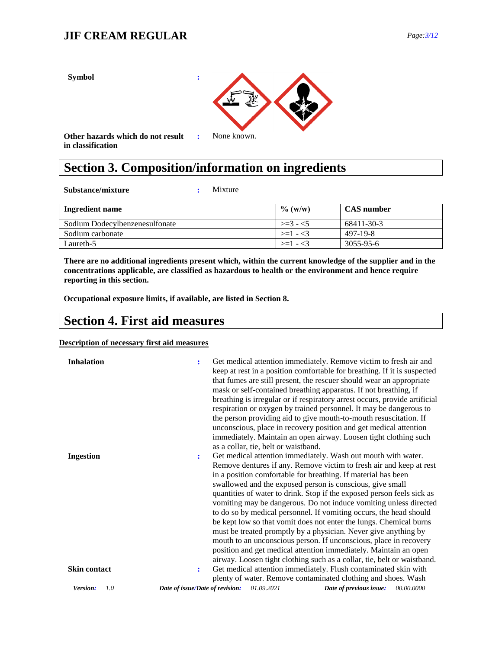

## **Section 3. Composition/information on ingredients**

**Substance/mixture :** Mixture

| Ingredient name                | $\%$ (w/w)   | <b>CAS</b> number |
|--------------------------------|--------------|-------------------|
| Sodium Dodecylbenzenesulfonate | $\geq 3 - 5$ | 68411-30-3        |
| Sodium carbonate               | $>=1 - 3$    | 497-19-8          |
| Laureth-5                      | $>=1 -3$     | 3055-95-6         |

**There are no additional ingredients present which, within the current knowledge of the supplier and in the concentrations applicable, are classified as hazardous to health or the environment and hence require reporting in this section.**

**Occupational exposure limits, if available, are listed in Section 8.**

## **Section 4. First aid measures**

#### **Description of necessary first aid measures**

| <b>Inhalation</b> | Get medical attention immediately. Remove victim to fresh air and<br>÷<br>keep at rest in a position comfortable for breathing. If it is suspected<br>that fumes are still present, the rescuer should wear an appropriate<br>mask or self-contained breathing apparatus. If not breathing, if<br>breathing is irregular or if respiratory arrest occurs, provide artificial<br>respiration or oxygen by trained personnel. It may be dangerous to<br>the person providing aid to give mouth-to-mouth resuscitation. If<br>unconscious, place in recovery position and get medical attention<br>immediately. Maintain an open airway. Loosen tight clothing such<br>as a collar, tie, belt or waistband.                                                                       |
|-------------------|--------------------------------------------------------------------------------------------------------------------------------------------------------------------------------------------------------------------------------------------------------------------------------------------------------------------------------------------------------------------------------------------------------------------------------------------------------------------------------------------------------------------------------------------------------------------------------------------------------------------------------------------------------------------------------------------------------------------------------------------------------------------------------|
| <b>Ingestion</b>  | Get medical attention immediately. Wash out mouth with water.<br>÷<br>Remove dentures if any. Remove victim to fresh air and keep at rest<br>in a position comfortable for breathing. If material has been<br>swallowed and the exposed person is conscious, give small<br>quantities of water to drink. Stop if the exposed person feels sick as<br>vomiting may be dangerous. Do not induce vomiting unless directed<br>to do so by medical personnel. If vomiting occurs, the head should<br>be kept low so that vomit does not enter the lungs. Chemical burns<br>must be treated promptly by a physician. Never give anything by<br>mouth to an unconscious person. If unconscious, place in recovery<br>position and get medical attention immediately. Maintain an open |
| Skin contact      | airway. Loosen tight clothing such as a collar, tie, belt or waistband.<br>Get medical attention immediately. Flush contaminated skin with<br>plenty of water. Remove contaminated clothing and shoes. Wash                                                                                                                                                                                                                                                                                                                                                                                                                                                                                                                                                                    |
| 1.0<br>Version:   | Date of issue/Date of revision:<br>01.09.2021<br>Date of previous issue:<br><i>00.00.0000</i>                                                                                                                                                                                                                                                                                                                                                                                                                                                                                                                                                                                                                                                                                  |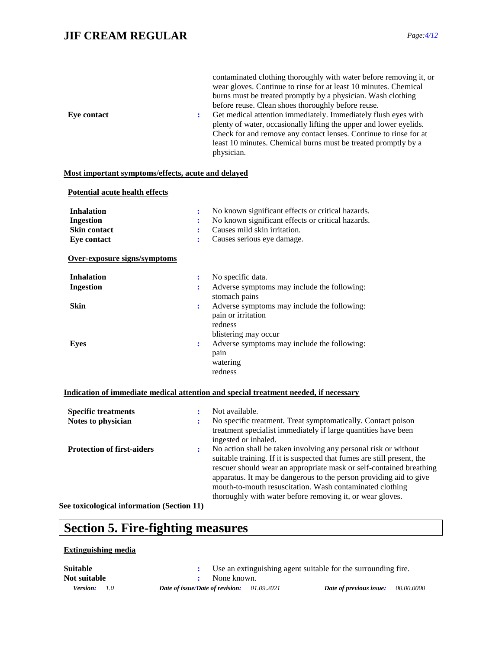### **JIF CREAM REGULAR** *Page:4/12*

| <b>Eye contact</b>                                                          | $\ddot{\phantom{a}}$ | contaminated clothing thoroughly with water before removing it, or<br>wear gloves. Continue to rinse for at least 10 minutes. Chemical<br>burns must be treated promptly by a physician. Wash clothing<br>before reuse. Clean shoes thoroughly before reuse.<br>Get medical attention immediately. Immediately flush eyes with<br>plenty of water, occasionally lifting the upper and lower eyelids.<br>Check for and remove any contact lenses. Continue to rinse for at<br>least 10 minutes. Chemical burns must be treated promptly by a<br>physician. |
|-----------------------------------------------------------------------------|----------------------|-----------------------------------------------------------------------------------------------------------------------------------------------------------------------------------------------------------------------------------------------------------------------------------------------------------------------------------------------------------------------------------------------------------------------------------------------------------------------------------------------------------------------------------------------------------|
| Most important symptoms/effects, acute and delayed                          |                      |                                                                                                                                                                                                                                                                                                                                                                                                                                                                                                                                                           |
| Potential acute health effects                                              |                      |                                                                                                                                                                                                                                                                                                                                                                                                                                                                                                                                                           |
| <b>Inhalation</b><br><b>Ingestion</b><br><b>Skin contact</b><br>Eye contact | ÷<br>÷<br>÷          | No known significant effects or critical hazards.<br>No known significant effects or critical hazards.<br>Causes mild skin irritation.<br>Causes serious eye damage.                                                                                                                                                                                                                                                                                                                                                                                      |
| Over-exposure signs/symptoms                                                |                      |                                                                                                                                                                                                                                                                                                                                                                                                                                                                                                                                                           |
| <b>Inhalation</b><br><b>Ingestion</b><br><b>Skin</b>                        | ÷<br>÷<br>÷          | No specific data.<br>Adverse symptoms may include the following:<br>stomach pains<br>Adverse symptoms may include the following:<br>pain or irritation                                                                                                                                                                                                                                                                                                                                                                                                    |
| <b>Eyes</b>                                                                 | ÷                    | redness<br>blistering may occur<br>Adverse symptoms may include the following:<br>pain<br>watering<br>redness                                                                                                                                                                                                                                                                                                                                                                                                                                             |
|                                                                             |                      | Indication of immediate medical attention and special treatment needed, if necessary                                                                                                                                                                                                                                                                                                                                                                                                                                                                      |
| <b>Specific treatments</b><br>Notes to physician                            | ÷<br>÷               | Not available.<br>No specific treatment. Treat symptomatically. Contact poison<br>treatment specialist immediately if large quantities have been<br>ingested or inhaled.                                                                                                                                                                                                                                                                                                                                                                                  |
| <b>Protection of first-aiders</b>                                           |                      | No action shall be taken involving any personal risk or without<br>suitable training. If it is suspected that fumes are still present, the<br>rescuer should wear an appropriate mask or self-contained breathing<br>apparatus. It may be dangerous to the person providing aid to give<br>mouth-to-mouth resuscitation. Wash contaminated clothing<br>thoroughly with water before removing it, or wear gloves.                                                                                                                                          |
| See toxicological information (Section 11)                                  |                      |                                                                                                                                                                                                                                                                                                                                                                                                                                                                                                                                                           |

## **Section 5. Fire-fighting measures**

#### **Extinguishing media**

*Version: 1.0 Date of issue/Date of revision: 01.09.2021 Date of previous issue: 00.00.0000* **Suitable :** Use an extinguishing agent suitable for the surrounding fire. **Not suitable :** None known.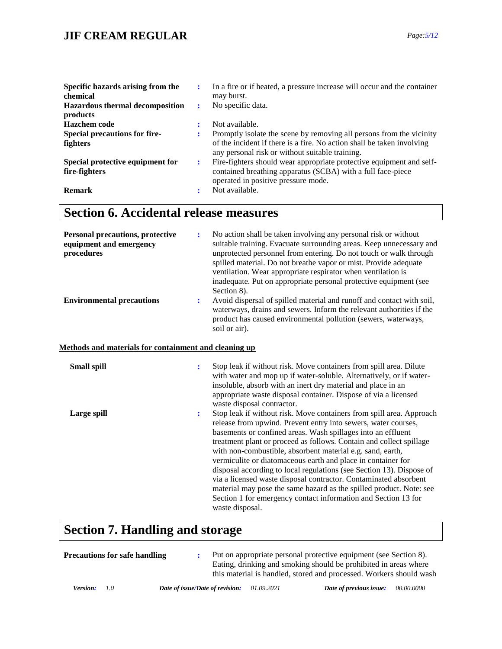### **JIF CREAM REGULAR** *Page:5/12*

| Specific hazards arising from the<br>chemical<br><b>Hazardous thermal decomposition</b><br>products | ÷ | In a fire or if heated, a pressure increase will occur and the container<br>may burst.<br>No specific data.                                                                                                         |
|-----------------------------------------------------------------------------------------------------|---|---------------------------------------------------------------------------------------------------------------------------------------------------------------------------------------------------------------------|
| Hazchem code<br><b>Special precautions for fire-</b><br><b>fighters</b>                             |   | Not available.<br>Promptly isolate the scene by removing all persons from the vicinity<br>of the incident if there is a fire. No action shall be taken involving<br>any personal risk or without suitable training. |
| Special protective equipment for<br>fire-fighters<br><b>Remark</b>                                  | ÷ | Fire-fighters should wear appropriate protective equipment and self-<br>contained breathing apparatus (SCBA) with a full face-piece<br>operated in positive pressure mode.<br>Not available.                        |

## **Section 6. Accidental release measures**

| <b>Personal precautions, protective</b><br>equipment and emergency<br>procedures | ÷              | No action shall be taken involving any personal risk or without<br>suitable training. Evacuate surrounding areas. Keep unnecessary and<br>unprotected personnel from entering. Do not touch or walk through<br>spilled material. Do not breathe vapor or mist. Provide adequate<br>ventilation. Wear appropriate respirator when ventilation is<br>inadequate. Put on appropriate personal protective equipment (see<br>Section 8).                                                                                                                                                                                                                                                                                 |
|----------------------------------------------------------------------------------|----------------|---------------------------------------------------------------------------------------------------------------------------------------------------------------------------------------------------------------------------------------------------------------------------------------------------------------------------------------------------------------------------------------------------------------------------------------------------------------------------------------------------------------------------------------------------------------------------------------------------------------------------------------------------------------------------------------------------------------------|
| <b>Environmental precautions</b>                                                 | ÷              | Avoid dispersal of spilled material and runoff and contact with soil,<br>waterways, drains and sewers. Inform the relevant authorities if the<br>product has caused environmental pollution (sewers, waterways,<br>soil or air).                                                                                                                                                                                                                                                                                                                                                                                                                                                                                    |
| Methods and materials for containment and cleaning up                            |                |                                                                                                                                                                                                                                                                                                                                                                                                                                                                                                                                                                                                                                                                                                                     |
| <b>Small spill</b>                                                               | $\ddot{\cdot}$ | Stop leak if without risk. Move containers from spill area. Dilute<br>with water and mop up if water-soluble. Alternatively, or if water-<br>insoluble, absorb with an inert dry material and place in an<br>appropriate waste disposal container. Dispose of via a licensed<br>waste disposal contractor.                                                                                                                                                                                                                                                                                                                                                                                                          |
| Large spill                                                                      | $\ddot{\cdot}$ | Stop leak if without risk. Move containers from spill area. Approach<br>release from upwind. Prevent entry into sewers, water courses,<br>basements or confined areas. Wash spillages into an effluent<br>treatment plant or proceed as follows. Contain and collect spillage<br>with non-combustible, absorbent material e.g. sand, earth,<br>vermiculite or diatomaceous earth and place in container for<br>disposal according to local regulations (see Section 13). Dispose of<br>via a licensed waste disposal contractor. Contaminated absorbent<br>material may pose the same hazard as the spilled product. Note: see<br>Section 1 for emergency contact information and Section 13 for<br>waste disposal. |

## **Section 7. Handling and storage**

| Precautions for safe handling |                                 |            | Put on appropriate personal protective equipment (see Section 8).<br>Eating, drinking and smoking should be prohibited in areas where<br>this material is handled, stored and processed. Workers should wash |            |
|-------------------------------|---------------------------------|------------|--------------------------------------------------------------------------------------------------------------------------------------------------------------------------------------------------------------|------------|
| Version:<br>- 1.0             | Date of issue/Date of revision: | 01.09.2021 | Date of previous issue:                                                                                                                                                                                      | 00.00.0000 |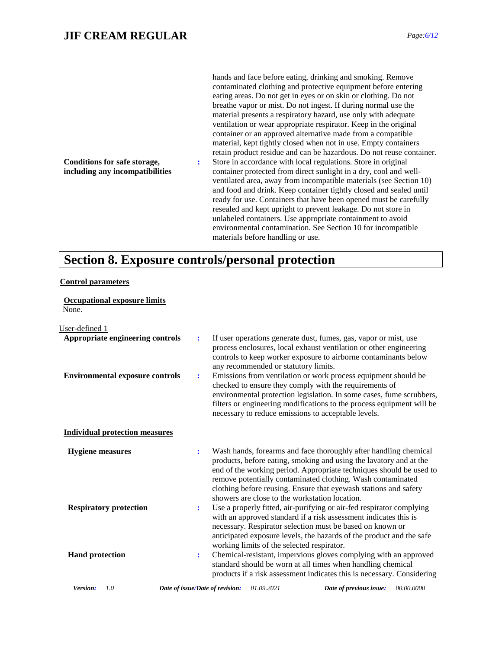hands and face before eating, drinking and smoking. Remove contaminated clothing and protective equipment before entering eating areas. Do not get in eyes or on skin or clothing. Do not breathe vapor or mist. Do not ingest. If during normal use the material presents a respiratory hazard, use only with adequate ventilation or wear appropriate respirator. Keep in the original container or an approved alternative made from a compatible material, kept tightly closed when not in use. Empty containers retain product residue and can be hazardous. Do not reuse container.

**:** Store in accordance with local regulations. Store in original container protected from direct sunlight in a dry, cool and wellventilated area, away from incompatible materials (see Section 10) and food and drink. Keep container tightly closed and sealed until ready for use. Containers that have been opened must be carefully resealed and kept upright to prevent leakage. Do not store in unlabeled containers. Use appropriate containment to avoid environmental contamination. See Section 10 for incompatible materials before handling or use.

### **Section 8. Exposure controls/personal protection**

#### **Control parameters**

**Occupational exposure limits** None.

**Conditions for safe storage, including any incompatibilities**

 $ad-1$ 

| User-gelineg 1                                                             |                                 |                                                |                                                                                                                                                                                                                                                                                                                                                                                                                                                                                                                                               |            |
|----------------------------------------------------------------------------|---------------------------------|------------------------------------------------|-----------------------------------------------------------------------------------------------------------------------------------------------------------------------------------------------------------------------------------------------------------------------------------------------------------------------------------------------------------------------------------------------------------------------------------------------------------------------------------------------------------------------------------------------|------------|
| Appropriate engineering controls<br><b>Environmental exposure controls</b> | ÷                               | any recommended or statutory limits.           | If user operations generate dust, fumes, gas, vapor or mist, use<br>process enclosures, local exhaust ventilation or other engineering<br>controls to keep worker exposure to airborne contaminants below<br>Emissions from ventilation or work process equipment should be<br>checked to ensure they comply with the requirements of<br>environmental protection legislation. In some cases, fume scrubbers,<br>filters or engineering modifications to the process equipment will be<br>necessary to reduce emissions to acceptable levels. |            |
| <b>Individual protection measures</b>                                      |                                 |                                                |                                                                                                                                                                                                                                                                                                                                                                                                                                                                                                                                               |            |
| <b>Hygiene</b> measures                                                    | ÷                               | showers are close to the workstation location. | Wash hands, forearms and face thoroughly after handling chemical<br>products, before eating, smoking and using the lavatory and at the<br>end of the working period. Appropriate techniques should be used to<br>remove potentially contaminated clothing. Wash contaminated<br>clothing before reusing. Ensure that eyewash stations and safety                                                                                                                                                                                              |            |
| <b>Respiratory protection</b>                                              | ÷                               | working limits of the selected respirator.     | Use a properly fitted, air-purifying or air-fed respirator complying<br>with an approved standard if a risk assessment indicates this is<br>necessary. Respirator selection must be based on known or<br>anticipated exposure levels, the hazards of the product and the safe                                                                                                                                                                                                                                                                 |            |
| <b>Hand protection</b>                                                     | ÷                               |                                                | Chemical-resistant, impervious gloves complying with an approved<br>standard should be worn at all times when handling chemical<br>products if a risk assessment indicates this is necessary. Considering                                                                                                                                                                                                                                                                                                                                     |            |
| Version:<br>1.0                                                            | Date of issue/Date of revision: | 01.09.2021                                     | Date of previous issue:                                                                                                                                                                                                                                                                                                                                                                                                                                                                                                                       | 00.00.0000 |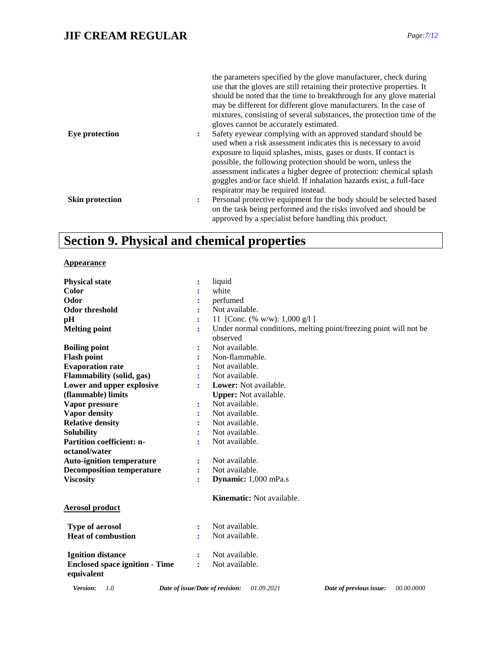|                        | the parameters specified by the glove manufacturer, check during<br>use that the gloves are still retaining their protective properties. It<br>should be noted that the time to breakthrough for any glove material<br>may be different for different glove manufacturers. In the case of<br>mixtures, consisting of several substances, the protection time of the<br>gloves cannot be accurately estimated.                                                      |
|------------------------|--------------------------------------------------------------------------------------------------------------------------------------------------------------------------------------------------------------------------------------------------------------------------------------------------------------------------------------------------------------------------------------------------------------------------------------------------------------------|
| Eye protection         | Safety eyewear complying with an approved standard should be<br>٠.<br>used when a risk assessment indicates this is necessary to avoid<br>exposure to liquid splashes, mists, gases or dusts. If contact is<br>possible, the following protection should be worn, unless the<br>assessment indicates a higher degree of protection: chemical splash<br>goggles and/or face shield. If inhalation hazards exist, a full-face<br>respirator may be required instead. |
| <b>Skin protection</b> | Personal protective equipment for the body should be selected based<br>$\ddot{\phantom{a}}$<br>on the task being performed and the risks involved and should be<br>approved by a specialist before handling this product.                                                                                                                                                                                                                                          |

## **Section 9. Physical and chemical properties**

#### **Appearance**

| <b>Physical state</b>                               | $\ddot{\cdot}$ | liquid                                                                        |
|-----------------------------------------------------|----------------|-------------------------------------------------------------------------------|
| Color                                               |                | white                                                                         |
| Odor                                                |                | perfumed                                                                      |
| <b>Odor threshold</b>                               |                | Not available.                                                                |
| pН                                                  |                | 11 [Conc. (% w/w): $1,000 \text{ g}/1$ ]                                      |
| <b>Melting point</b>                                | ÷              | Under normal conditions, melting point/freezing point will not be<br>observed |
| <b>Boiling point</b>                                |                | Not available.                                                                |
| <b>Flash point</b>                                  |                | Non-flammable.                                                                |
| <b>Evaporation rate</b>                             |                | Not available.                                                                |
| <b>Flammability (solid, gas)</b>                    | ÷              | Not available.                                                                |
| Lower and upper explosive                           | ÷              | <b>Lower:</b> Not available.                                                  |
| (flammable) limits                                  |                | <b>Upper:</b> Not available.                                                  |
| Vapor pressure                                      | :              | Not available.                                                                |
| <b>Vapor density</b>                                | ÷              | Not available.                                                                |
| <b>Relative density</b>                             |                | Not available.                                                                |
| <b>Solubility</b>                                   | ÷              | Not available.                                                                |
| <b>Partition coefficient: n-</b>                    | ÷              | Not available.                                                                |
| octanol/water                                       |                |                                                                               |
| <b>Auto-ignition temperature</b>                    | $\ddot{\cdot}$ | Not available.                                                                |
| <b>Decomposition temperature</b>                    | ÷              | Not available.                                                                |
| <b>Viscosity</b>                                    | ÷              | Dynamic: 1,000 mPa.s                                                          |
| <b>Aerosol product</b>                              |                | Kinematic: Not available.                                                     |
|                                                     |                |                                                                               |
| <b>Type of aerosol</b>                              | ÷              | Not available.                                                                |
| <b>Heat of combustion</b>                           | ÷              | Not available.                                                                |
| <b>Ignition distance</b>                            |                | Not available.                                                                |
| <b>Enclosed space ignition - Time</b><br>equivalent | ÷              | Not available.                                                                |
|                                                     |                |                                                                               |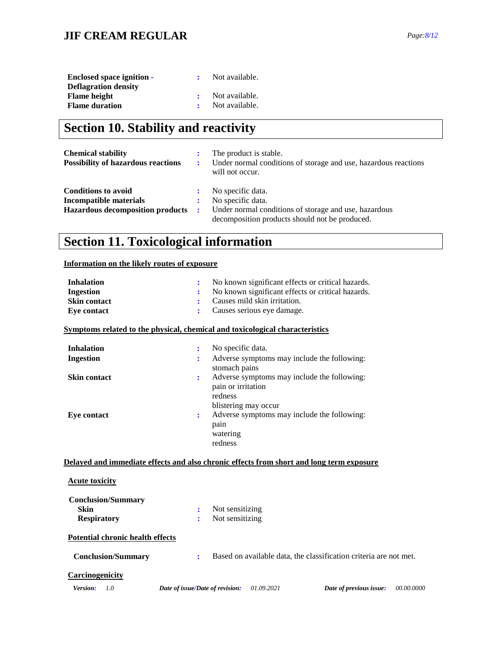### **JIF CREAM REGULAR** *Page:8/12*

| <b>Enclosed space ignition -</b> | Not available. |
|----------------------------------|----------------|
| <b>Deflagration density</b>      |                |
| <b>Flame height</b>              | Not available. |
| <b>Flame duration</b>            | Not available. |

## **Section 10. Stability and reactivity**

| <b>Chemical stability</b><br><b>Possibility of hazardous reactions</b> | ٠.           | The product is stable.<br>Under normal conditions of storage and use, hazardous reactions<br>will not occur. |
|------------------------------------------------------------------------|--------------|--------------------------------------------------------------------------------------------------------------|
| <b>Conditions to avoid</b>                                             |              | No specific data.                                                                                            |
| Incompatible materials                                                 |              | No specific data.                                                                                            |
| <b>Hazardous decomposition products</b>                                | $\mathbf{r}$ | Under normal conditions of storage and use, hazardous<br>decomposition products should not be produced.      |

## **Section 11. Toxicological information**

#### **Information on the likely routes of exposure**

| <b>Inhalation</b>                                              | No known significant effects or critical hazards.                                                                      |  |
|----------------------------------------------------------------|------------------------------------------------------------------------------------------------------------------------|--|
| <b>Ingestion</b>                                               | No known significant effects or critical hazards.                                                                      |  |
| <b>Skin contact</b>                                            | Causes mild skin irritation.<br>÷                                                                                      |  |
| <b>Eye contact</b>                                             | Causes serious eye damage.<br>÷                                                                                        |  |
|                                                                | Symptoms related to the physical, chemical and toxicological characteristics                                           |  |
| <b>Inhalation</b>                                              | No specific data.<br>÷                                                                                                 |  |
| <b>Ingestion</b>                                               | Adverse symptoms may include the following:<br>stomach pains                                                           |  |
| <b>Skin contact</b>                                            | Adverse symptoms may include the following:<br>$\ddot{\cdot}$<br>pain or irritation<br>redness<br>blistering may occur |  |
| <b>Eye contact</b>                                             | Adverse symptoms may include the following:<br>÷<br>pain<br>watering<br>redness                                        |  |
| <b>Acute toxicity</b>                                          | Delayed and immediate effects and also chronic effects from short and long term exposure                               |  |
| <b>Conclusion/Summary</b><br><b>Skin</b><br><b>Respiratory</b> | Not sensitizing<br>Not sensitizing                                                                                     |  |
| <b>Potential chronic health effects</b>                        |                                                                                                                        |  |
| <b>Conclusion/Summary</b>                                      | Based on available data, the classification criteria are not met.<br>÷                                                 |  |
| <b>Carcinogenicity</b><br>1.0<br>Version:                      | Date of issue/Date of revision:<br>01.09.2021<br>Date of previous issue:<br>00.00.0000                                 |  |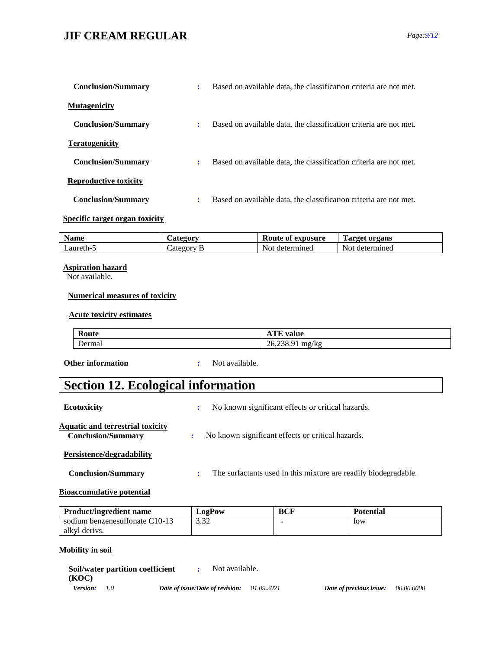### **JIF CREAM REGULAR** *Page:9/12*

| <b>Conclusion/Summary</b>    | ÷ | Based on available data, the classification criteria are not met. |
|------------------------------|---|-------------------------------------------------------------------|
| <b>Mutagenicity</b>          |   |                                                                   |
| <b>Conclusion/Summary</b>    | ÷ | Based on available data, the classification criteria are not met. |
| <b>Teratogenicity</b>        |   |                                                                   |
| <b>Conclusion/Summary</b>    | ٠ | Based on available data, the classification criteria are not met. |
| <b>Reproductive toxicity</b> |   |                                                                   |
| <b>Conclusion/Summary</b>    | ÷ | Based on available data, the classification criteria are not met. |

#### **Specific target organ toxicity**

| $\bullet$<br>Name | $\mathcal{L}$ ategory | Route of<br>exposure | <b>Target organs</b> |
|-------------------|-----------------------|----------------------|----------------------|
| _aureth-*         | Lategory              | Not<br>determined    | Not<br>determined    |

#### **Aspiration hazard**

Not available.

#### **Numerical measures of toxicity**

#### **Acute toxicity estimates**

| Route  | m<br>value<br>ATE                  |
|--------|------------------------------------|
| Dermal | $\mathbf{r}$<br>26,238.91<br>mg/kg |

**Other information :** Not available.

## **Section 12. Ecological information**

| <b>Ecotoxicity</b>                                                   | No known significant effects or critical hazards.               |
|----------------------------------------------------------------------|-----------------------------------------------------------------|
| <b>Aquatic and terrestrial toxicity</b><br><b>Conclusion/Summary</b> | No known significant effects or critical hazards.<br>÷          |
| Persistence/degradability                                            |                                                                 |
| <b>Conclusion/Summary</b>                                            | The surfactants used in this mixture are readily biodegradable. |
| m.<br>.                                                              |                                                                 |

#### **Bioaccumulative potential**

| <b>Product/ingredient name</b> | <b>∠02P0w</b>  | BCF | <b>Potential</b> |
|--------------------------------|----------------|-----|------------------|
| sodium benzenesulfonate C10-13 | າ າາ<br>ے د. ر |     | low              |
| alkyl derivs.                  |                |     |                  |

#### **Mobility in soil**

|                     | Soil/water partition coefficient<br>Not available. |            |                         |                   |
|---------------------|----------------------------------------------------|------------|-------------------------|-------------------|
| (KOC)               |                                                    |            |                         |                   |
| <b>Version:</b> 1.0 | Date of issue/Date of revision:                    | 01.09.2021 | Date of previous issue: | <i>00.00.0000</i> |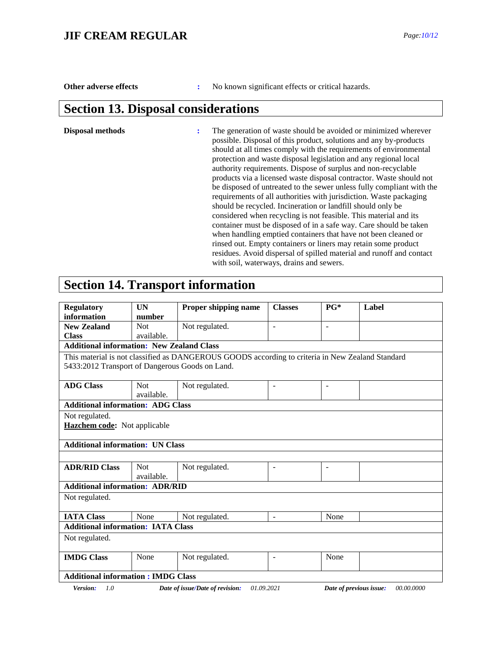**Other adverse effects :** No known significant effects or critical hazards.

### **Section 13. Disposal considerations**

**Disposal methods :** The generation of waste should be avoided or minimized wherever possible. Disposal of this product, solutions and any by-products should at all times comply with the requirements of environmental protection and waste disposal legislation and any regional local authority requirements. Dispose of surplus and non-recyclable products via a licensed waste disposal contractor. Waste should not be disposed of untreated to the sewer unless fully compliant with the requirements of all authorities with jurisdiction. Waste packaging should be recycled. Incineration or landfill should only be considered when recycling is not feasible. This material and its container must be disposed of in a safe way. Care should be taken when handling emptied containers that have not been cleaned or rinsed out. Empty containers or liners may retain some product residues. Avoid dispersal of spilled material and runoff and contact with soil, waterways, drains and sewers.

### **Section 14. Transport information**

| <b>Regulatory</b>                                | <b>UN</b>                                                                                | Proper shipping name<br><b>Classes</b>                                                           |                          | $P G^*$                  | Label     |
|--------------------------------------------------|------------------------------------------------------------------------------------------|--------------------------------------------------------------------------------------------------|--------------------------|--------------------------|-----------|
| information                                      | number                                                                                   |                                                                                                  |                          |                          |           |
| <b>New Zealand</b>                               | <b>Not</b>                                                                               | Not regulated.                                                                                   |                          | ÷                        |           |
| <b>Class</b>                                     | available.                                                                               |                                                                                                  |                          |                          |           |
| <b>Additional information: New Zealand Class</b> |                                                                                          |                                                                                                  |                          |                          |           |
|                                                  |                                                                                          | This material is not classified as DANGEROUS GOODS according to criteria in New Zealand Standard |                          |                          |           |
| 5433:2012 Transport of Dangerous Goods on Land.  |                                                                                          |                                                                                                  |                          |                          |           |
| <b>ADG Class</b>                                 | <b>Not</b><br>available.                                                                 | Not regulated.                                                                                   | $\overline{\phantom{a}}$ | $\overline{\phantom{0}}$ |           |
| <b>Additional information: ADG Class</b>         |                                                                                          |                                                                                                  |                          |                          |           |
| Not regulated.                                   |                                                                                          |                                                                                                  |                          |                          |           |
| Hazchem code: Not applicable                     |                                                                                          |                                                                                                  |                          |                          |           |
| <b>Additional information: UN Class</b>          |                                                                                          |                                                                                                  |                          |                          |           |
|                                                  |                                                                                          |                                                                                                  |                          |                          |           |
| <b>ADR/RID Class</b>                             | <b>Not</b><br>Not regulated.<br>$\blacksquare$<br>$\overline{\phantom{a}}$<br>available. |                                                                                                  |                          |                          |           |
| <b>Additional information: ADR/RID</b>           |                                                                                          |                                                                                                  |                          |                          |           |
| Not regulated.                                   |                                                                                          |                                                                                                  |                          |                          |           |
| <b>IATA Class</b>                                | None                                                                                     | Not regulated.                                                                                   | $\sim$                   | None                     |           |
| <b>Additional information: IATA Class</b>        |                                                                                          |                                                                                                  |                          |                          |           |
| Not regulated.                                   |                                                                                          |                                                                                                  |                          |                          |           |
| <b>IMDG Class</b>                                | None                                                                                     | Not regulated.                                                                                   |                          | None                     |           |
| <b>Additional information: IMDG Class</b>        |                                                                                          |                                                                                                  |                          |                          |           |
|                                                  |                                                                                          | 01.00.001                                                                                        |                          |                          | 00.00.000 |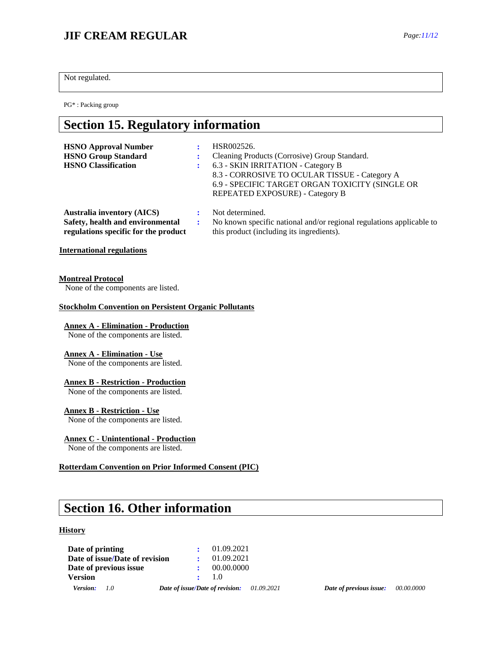### **JIF CREAM REGULAR** *Page:11/12*

Not regulated.

PG\* : Packing group

### **Section 15. Regulatory information**

| <b>HSNO Approval Number</b><br><b>HSNO Group Standard</b><br><b>HSNO</b> Classification | HSR002526.<br>Cleaning Products (Corrosive) Group Standard.<br>6.3 - SKIN IRRITATION - Category B<br>8.3 - CORROSIVE TO OCULAR TISSUE - Category A<br>6.9 - SPECIFIC TARGET ORGAN TOXICITY (SINGLE OR<br>REPEATED EXPOSURE) - Category B |
|-----------------------------------------------------------------------------------------|------------------------------------------------------------------------------------------------------------------------------------------------------------------------------------------------------------------------------------------|
| <b>Australia inventory (AICS)</b>                                                       | Not determined.                                                                                                                                                                                                                          |
| Safety, health and environmental                                                        | No known specific national and/or regional regulations applicable to                                                                                                                                                                     |

this product (including its ingredients).

#### **International regulations**

#### **Montreal Protocol**

None of the components are listed.

**regulations specific for the product**

#### **Stockholm Convention on Persistent Organic Pollutants**

#### **Annex A - Elimination - Production**

None of the components are listed.

#### **Annex A - Elimination - Use**

None of the components are listed.

#### **Annex B - Restriction - Production**

None of the components are listed.

#### **Annex B - Restriction - Use**

None of the components are listed.

#### **Annex C - Unintentional - Production**

None of the components are listed.

#### **Rotterdam Convention on Prior Informed Consent (PIC)**

## **Section 16. Other information**

#### **History**

| Date of printing               |                                 | $\cdot$ 01.09.2021 |
|--------------------------------|---------------------------------|--------------------|
| Date of issue/Date of revision |                                 | 01.09.2021         |
| Date of previous issue         |                                 | 00.00.0000         |
| <b>Version</b>                 |                                 | $\div$ 1.0         |
| Version:<br>$\overline{10}$    | Date of issue/Date of revision: | 01.09.2021         |

*Date of previous issue:*  $00.00.0000$